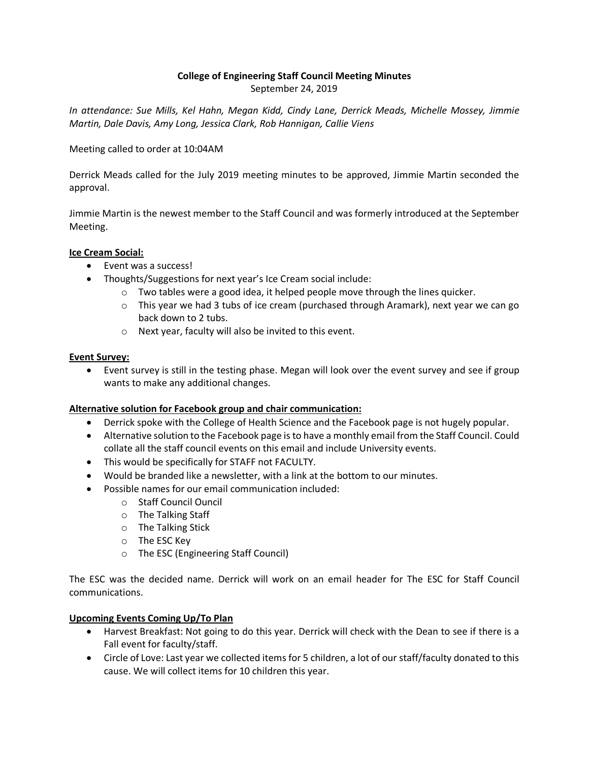## **College of Engineering Staff Council Meeting Minutes** September 24, 2019

*In attendance: Sue Mills, Kel Hahn, Megan Kidd, Cindy Lane, Derrick Meads, Michelle Mossey, Jimmie Martin, Dale Davis, Amy Long, Jessica Clark, Rob Hannigan, Callie Viens*

Meeting called to order at 10:04AM

Derrick Meads called for the July 2019 meeting minutes to be approved, Jimmie Martin seconded the approval.

Jimmie Martin is the newest member to the Staff Council and was formerly introduced at the September Meeting.

## **Ice Cream Social:**

- Event was a success!
- Thoughts/Suggestions for next year's Ice Cream social include:
	- $\circ$  Two tables were a good idea, it helped people move through the lines quicker.
	- $\circ$  This year we had 3 tubs of ice cream (purchased through Aramark), next year we can go back down to 2 tubs.
	- o Next year, faculty will also be invited to this event.

#### **Event Survey:**

• Event survey is still in the testing phase. Megan will look over the event survey and see if group wants to make any additional changes.

## **Alternative solution for Facebook group and chair communication:**

- Derrick spoke with the College of Health Science and the Facebook page is not hugely popular.
- Alternative solution to the Facebook page is to have a monthly email from the Staff Council. Could collate all the staff council events on this email and include University events.
- This would be specifically for STAFF not FACULTY.
- Would be branded like a newsletter, with a link at the bottom to our minutes.
- Possible names for our email communication included:
	- o Staff Council Ouncil
	- o The Talking Staff
	- o The Talking Stick
	- o The ESC Key
	- o The ESC (Engineering Staff Council)

The ESC was the decided name. Derrick will work on an email header for The ESC for Staff Council communications.

## **Upcoming Events Coming Up/To Plan**

- Harvest Breakfast: Not going to do this year. Derrick will check with the Dean to see if there is a Fall event for faculty/staff.
- Circle of Love: Last year we collected items for 5 children, a lot of our staff/faculty donated to this cause. We will collect items for 10 children this year.